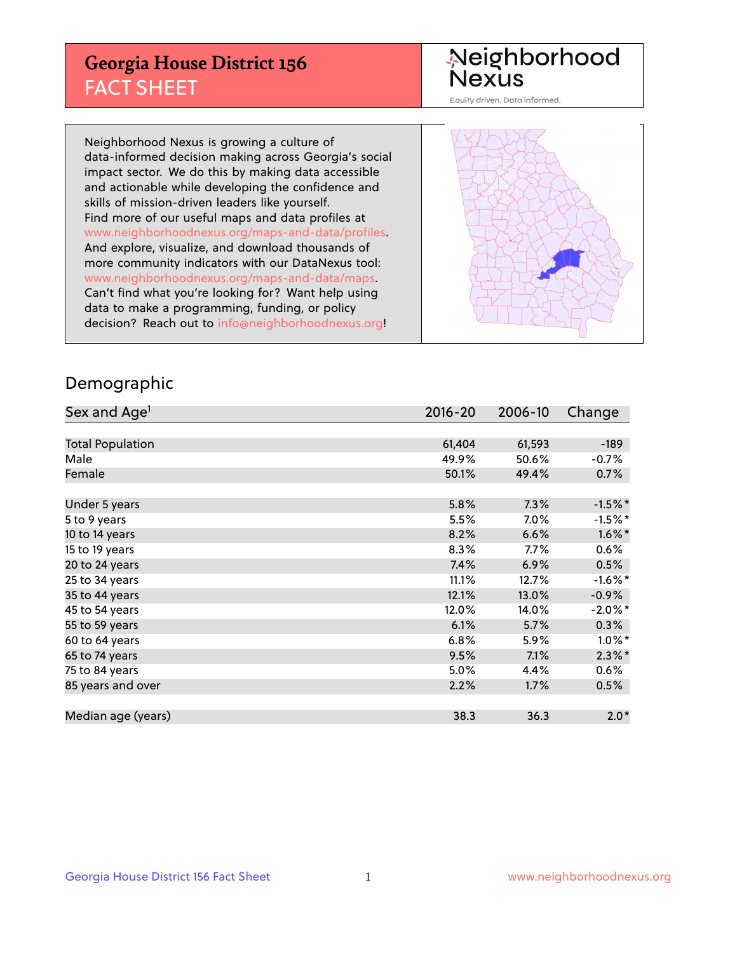## **Georgia House District 156** FACT SHEET

# Neighborhood<br>Nexus

Equity driven. Data informed.

Neighborhood Nexus is growing a culture of data-informed decision making across Georgia's social impact sector. We do this by making data accessible and actionable while developing the confidence and skills of mission-driven leaders like yourself. Find more of our useful maps and data profiles at www.neighborhoodnexus.org/maps-and-data/profiles. And explore, visualize, and download thousands of more community indicators with our DataNexus tool: www.neighborhoodnexus.org/maps-and-data/maps. Can't find what you're looking for? Want help using data to make a programming, funding, or policy decision? Reach out to [info@neighborhoodnexus.org!](mailto:info@neighborhoodnexus.org)



### Demographic

| Sex and Age <sup>1</sup> | $2016 - 20$ | 2006-10 | Change     |
|--------------------------|-------------|---------|------------|
|                          |             |         |            |
| <b>Total Population</b>  | 61,404      | 61,593  | $-189$     |
| Male                     | 49.9%       | 50.6%   | $-0.7%$    |
| Female                   | 50.1%       | 49.4%   | 0.7%       |
|                          |             |         |            |
| Under 5 years            | 5.8%        | 7.3%    | $-1.5%$ *  |
| 5 to 9 years             | 5.5%        | $7.0\%$ | $-1.5%$ *  |
| 10 to 14 years           | 8.2%        | 6.6%    | $1.6\%$ *  |
| 15 to 19 years           | 8.3%        | 7.7%    | 0.6%       |
| 20 to 24 years           | 7.4%        | 6.9%    | 0.5%       |
| 25 to 34 years           | 11.1%       | 12.7%   | $-1.6\%$ * |
| 35 to 44 years           | 12.1%       | 13.0%   | $-0.9%$    |
| 45 to 54 years           | 12.0%       | 14.0%   | $-2.0\%$ * |
| 55 to 59 years           | 6.1%        | 5.7%    | 0.3%       |
| 60 to 64 years           | 6.8%        | 5.9%    | $1.0\%$ *  |
| 65 to 74 years           | 9.5%        | 7.1%    | $2.3\%$ *  |
| 75 to 84 years           | 5.0%        | 4.4%    | $0.6\%$    |
| 85 years and over        | 2.2%        | 1.7%    | 0.5%       |
|                          |             |         |            |
| Median age (years)       | 38.3        | 36.3    | $2.0*$     |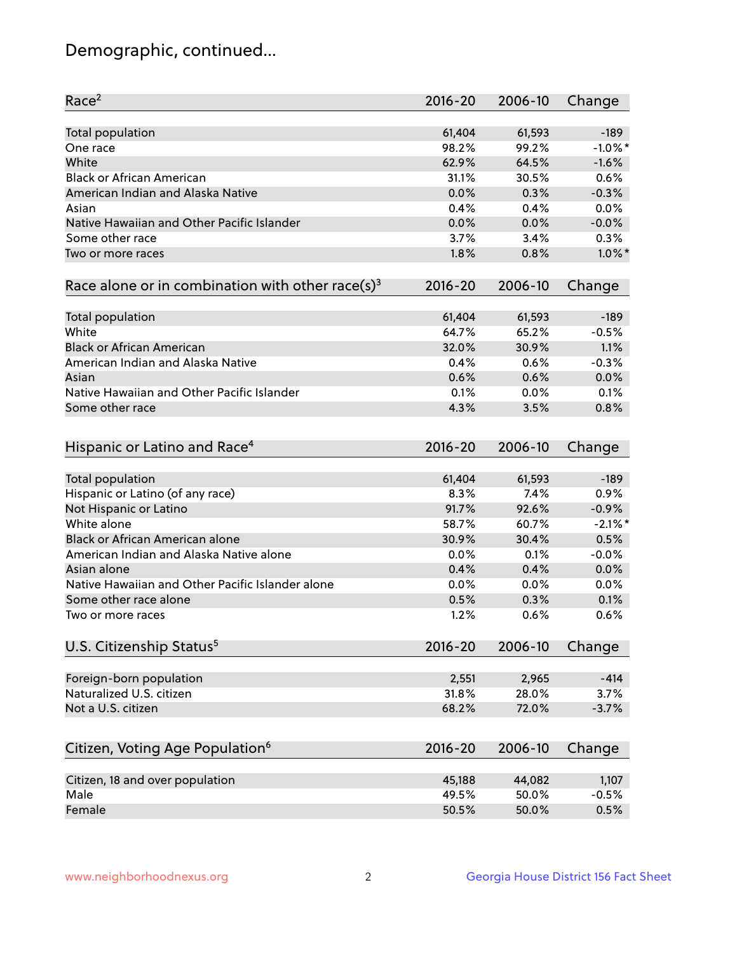## Demographic, continued...

| Race <sup>2</sup>                                            | $2016 - 20$ | 2006-10 | Change     |
|--------------------------------------------------------------|-------------|---------|------------|
| <b>Total population</b>                                      | 61,404      | 61,593  | $-189$     |
| One race                                                     | 98.2%       | 99.2%   | $-1.0\%$ * |
| White                                                        | 62.9%       | 64.5%   | $-1.6%$    |
| <b>Black or African American</b>                             | 31.1%       | 30.5%   | 0.6%       |
| American Indian and Alaska Native                            | 0.0%        | 0.3%    | $-0.3%$    |
| Asian                                                        | 0.4%        | 0.4%    | 0.0%       |
| Native Hawaiian and Other Pacific Islander                   | 0.0%        | 0.0%    | $-0.0%$    |
| Some other race                                              | 3.7%        | 3.4%    | 0.3%       |
| Two or more races                                            | 1.8%        | 0.8%    | $1.0\%$ *  |
| Race alone or in combination with other race(s) <sup>3</sup> | $2016 - 20$ | 2006-10 | Change     |
|                                                              |             |         |            |
| Total population                                             | 61,404      | 61,593  | $-189$     |
| White                                                        | 64.7%       | 65.2%   | $-0.5%$    |
| <b>Black or African American</b>                             | 32.0%       | 30.9%   | 1.1%       |
| American Indian and Alaska Native                            | 0.4%        | 0.6%    | $-0.3%$    |
| Asian                                                        | 0.6%        | 0.6%    | 0.0%       |
| Native Hawaiian and Other Pacific Islander                   | 0.1%        | 0.0%    | 0.1%       |
| Some other race                                              | 4.3%        | 3.5%    | 0.8%       |
| Hispanic or Latino and Race <sup>4</sup>                     | $2016 - 20$ | 2006-10 | Change     |
| <b>Total population</b>                                      | 61,404      | 61,593  | $-189$     |
| Hispanic or Latino (of any race)                             | 8.3%        | 7.4%    | 0.9%       |
| Not Hispanic or Latino                                       | 91.7%       | 92.6%   | $-0.9%$    |
| White alone                                                  | 58.7%       | 60.7%   | $-2.1\%$ * |
| Black or African American alone                              | 30.9%       | 30.4%   | 0.5%       |
| American Indian and Alaska Native alone                      | 0.0%        | 0.1%    | $-0.0%$    |
| Asian alone                                                  | 0.4%        | 0.4%    | 0.0%       |
| Native Hawaiian and Other Pacific Islander alone             | $0.0\%$     | 0.0%    | 0.0%       |
| Some other race alone                                        | 0.5%        | 0.3%    | 0.1%       |
| Two or more races                                            | 1.2%        | 0.6%    | 0.6%       |
|                                                              |             |         |            |
| U.S. Citizenship Status <sup>5</sup>                         | $2016 - 20$ | 2006-10 | Change     |
| Foreign-born population                                      | 2,551       | 2,965   | $-414$     |
| Naturalized U.S. citizen                                     | 31.8%       | 28.0%   | 3.7%       |
| Not a U.S. citizen                                           | 68.2%       | 72.0%   | $-3.7%$    |
|                                                              |             |         |            |
| Citizen, Voting Age Population <sup>6</sup>                  | 2016-20     | 2006-10 | Change     |
| Citizen, 18 and over population                              | 45,188      | 44,082  | 1,107      |
| Male                                                         | 49.5%       | 50.0%   | $-0.5%$    |
| Female                                                       | 50.5%       | 50.0%   | 0.5%       |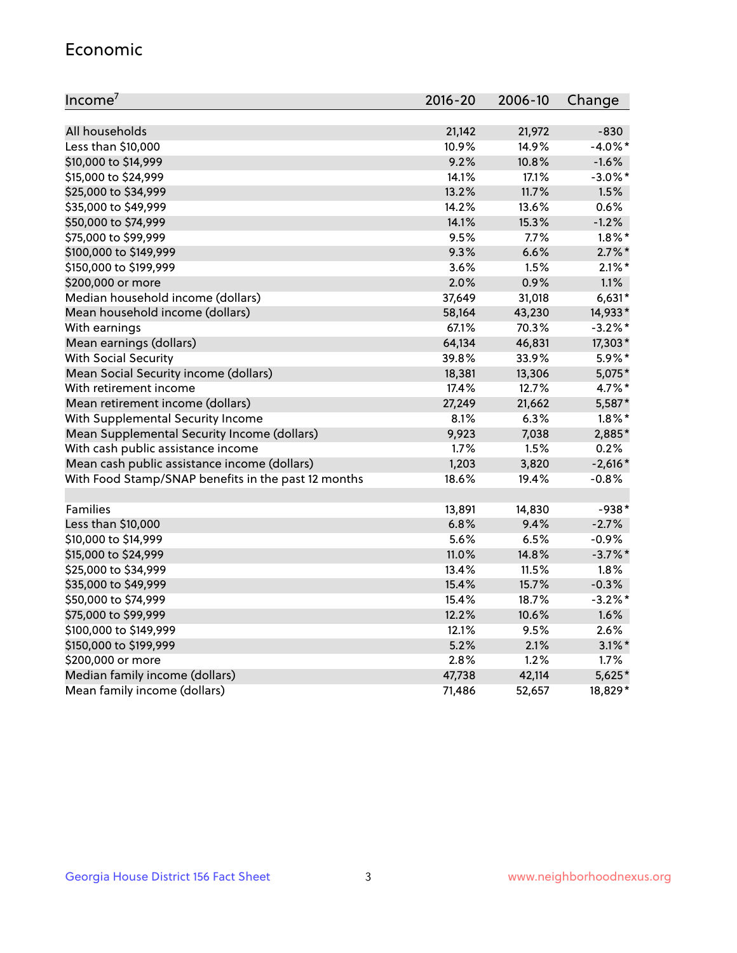#### Economic

| Income <sup>7</sup>                                 | 2016-20 | 2006-10 | Change     |
|-----------------------------------------------------|---------|---------|------------|
|                                                     |         |         |            |
| All households                                      | 21,142  | 21,972  | $-830$     |
| Less than \$10,000                                  | 10.9%   | 14.9%   | $-4.0\%$ * |
| \$10,000 to \$14,999                                | 9.2%    | 10.8%   | $-1.6%$    |
| \$15,000 to \$24,999                                | 14.1%   | 17.1%   | $-3.0\%$ * |
| \$25,000 to \$34,999                                | 13.2%   | 11.7%   | 1.5%       |
| \$35,000 to \$49,999                                | 14.2%   | 13.6%   | 0.6%       |
| \$50,000 to \$74,999                                | 14.1%   | 15.3%   | $-1.2%$    |
| \$75,000 to \$99,999                                | 9.5%    | 7.7%    | $1.8\%$ *  |
| \$100,000 to \$149,999                              | 9.3%    | 6.6%    | $2.7\%$ *  |
| \$150,000 to \$199,999                              | 3.6%    | 1.5%    | $2.1\%$ *  |
| \$200,000 or more                                   | 2.0%    | 0.9%    | 1.1%       |
| Median household income (dollars)                   | 37,649  | 31,018  | $6,631*$   |
| Mean household income (dollars)                     | 58,164  | 43,230  | 14,933*    |
| With earnings                                       | 67.1%   | 70.3%   | $-3.2%$ *  |
| Mean earnings (dollars)                             | 64,134  | 46,831  | 17,303*    |
| <b>With Social Security</b>                         | 39.8%   | 33.9%   | 5.9%*      |
| Mean Social Security income (dollars)               | 18,381  | 13,306  | 5,075*     |
| With retirement income                              | 17.4%   | 12.7%   | 4.7%*      |
| Mean retirement income (dollars)                    | 27,249  | 21,662  | 5,587*     |
| With Supplemental Security Income                   | 8.1%    | 6.3%    | $1.8\%$ *  |
| Mean Supplemental Security Income (dollars)         | 9,923   | 7,038   | 2,885*     |
| With cash public assistance income                  | 1.7%    | 1.5%    | 0.2%       |
| Mean cash public assistance income (dollars)        | 1,203   | 3,820   | $-2,616*$  |
| With Food Stamp/SNAP benefits in the past 12 months | 18.6%   | 19.4%   | $-0.8%$    |
|                                                     |         |         |            |
| Families                                            | 13,891  | 14,830  | $-938*$    |
| Less than \$10,000                                  | 6.8%    | 9.4%    | $-2.7%$    |
| \$10,000 to \$14,999                                | 5.6%    | 6.5%    | $-0.9%$    |
| \$15,000 to \$24,999                                | 11.0%   | 14.8%   | $-3.7\%$ * |
| \$25,000 to \$34,999                                | 13.4%   | 11.5%   | 1.8%       |
| \$35,000 to \$49,999                                | 15.4%   | 15.7%   | $-0.3%$    |
| \$50,000 to \$74,999                                | 15.4%   | 18.7%   | $-3.2%$ *  |
| \$75,000 to \$99,999                                | 12.2%   | 10.6%   | 1.6%       |
| \$100,000 to \$149,999                              | 12.1%   | 9.5%    | 2.6%       |
| \$150,000 to \$199,999                              | 5.2%    | 2.1%    | $3.1\%$ *  |
| \$200,000 or more                                   | 2.8%    | 1.2%    | 1.7%       |
| Median family income (dollars)                      | 47,738  | 42,114  | $5,625*$   |
| Mean family income (dollars)                        | 71,486  | 52,657  | 18,829*    |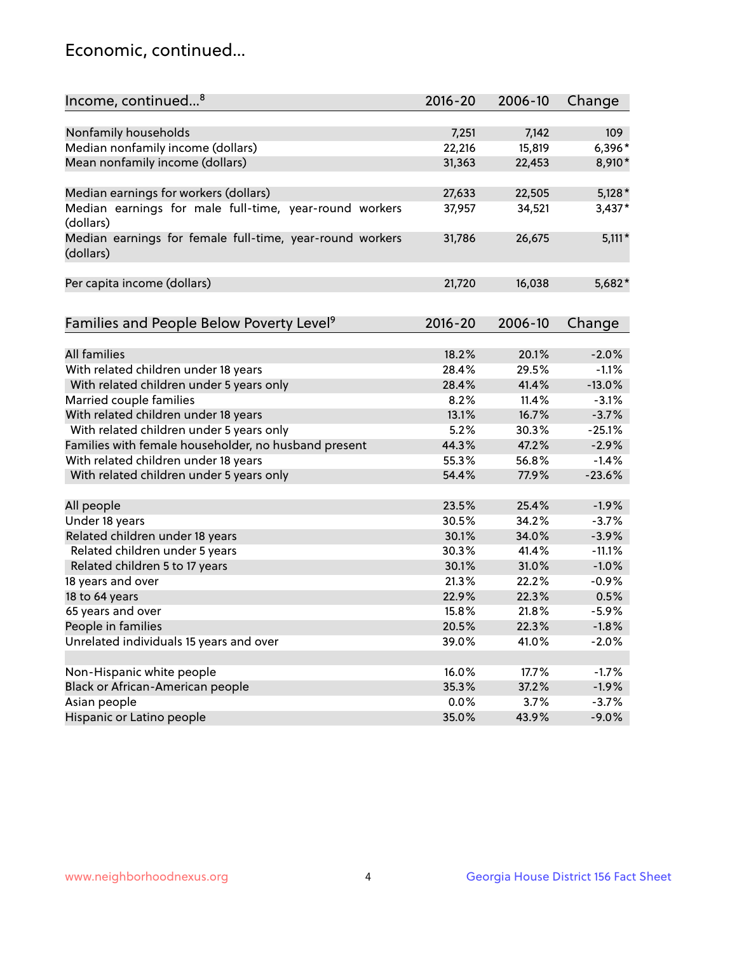## Economic, continued...

| Income, continued <sup>8</sup>                           | $2016 - 20$ | 2006-10 | Change   |
|----------------------------------------------------------|-------------|---------|----------|
|                                                          |             |         |          |
| Nonfamily households                                     | 7,251       | 7,142   | 109      |
| Median nonfamily income (dollars)                        | 22,216      | 15,819  | 6,396*   |
| Mean nonfamily income (dollars)                          | 31,363      | 22,453  | 8,910*   |
|                                                          |             |         |          |
| Median earnings for workers (dollars)                    | 27,633      | 22,505  | $5,128*$ |
| Median earnings for male full-time, year-round workers   | 37,957      | 34,521  | $3,437*$ |
| (dollars)                                                |             |         |          |
| Median earnings for female full-time, year-round workers | 31,786      | 26,675  | $5,111*$ |
| (dollars)                                                |             |         |          |
|                                                          |             |         |          |
| Per capita income (dollars)                              | 21,720      | 16,038  | 5,682*   |
|                                                          |             |         |          |
| Families and People Below Poverty Level <sup>9</sup>     | 2016-20     | 2006-10 | Change   |
|                                                          |             |         |          |
| <b>All families</b>                                      | 18.2%       | 20.1%   | $-2.0%$  |
| With related children under 18 years                     | 28.4%       | 29.5%   | $-1.1%$  |
| With related children under 5 years only                 | 28.4%       | 41.4%   | $-13.0%$ |
| Married couple families                                  | 8.2%        | 11.4%   | $-3.1%$  |
| With related children under 18 years                     | 13.1%       | 16.7%   | $-3.7%$  |
| With related children under 5 years only                 | 5.2%        | 30.3%   | $-25.1%$ |
| Families with female householder, no husband present     | 44.3%       | 47.2%   | $-2.9%$  |
| With related children under 18 years                     | 55.3%       | 56.8%   | $-1.4%$  |
| With related children under 5 years only                 | 54.4%       | 77.9%   | $-23.6%$ |
|                                                          |             |         |          |
| All people                                               | 23.5%       | 25.4%   | $-1.9%$  |
| Under 18 years                                           | 30.5%       | 34.2%   | $-3.7%$  |
| Related children under 18 years                          | 30.1%       | 34.0%   | $-3.9%$  |
| Related children under 5 years                           | 30.3%       | 41.4%   | $-11.1%$ |
| Related children 5 to 17 years                           | 30.1%       | 31.0%   | $-1.0%$  |
| 18 years and over                                        | 21.3%       | 22.2%   | $-0.9%$  |
| 18 to 64 years                                           | 22.9%       | 22.3%   | 0.5%     |
| 65 years and over                                        | 15.8%       | 21.8%   | $-5.9%$  |
| People in families                                       | 20.5%       | 22.3%   | $-1.8%$  |
| Unrelated individuals 15 years and over                  | 39.0%       | 41.0%   | $-2.0%$  |
|                                                          |             |         |          |
| Non-Hispanic white people                                | 16.0%       | 17.7%   | $-1.7%$  |
| Black or African-American people                         | 35.3%       | 37.2%   | $-1.9%$  |
| Asian people                                             | 0.0%        | 3.7%    | $-3.7%$  |
| Hispanic or Latino people                                | 35.0%       | 43.9%   | $-9.0%$  |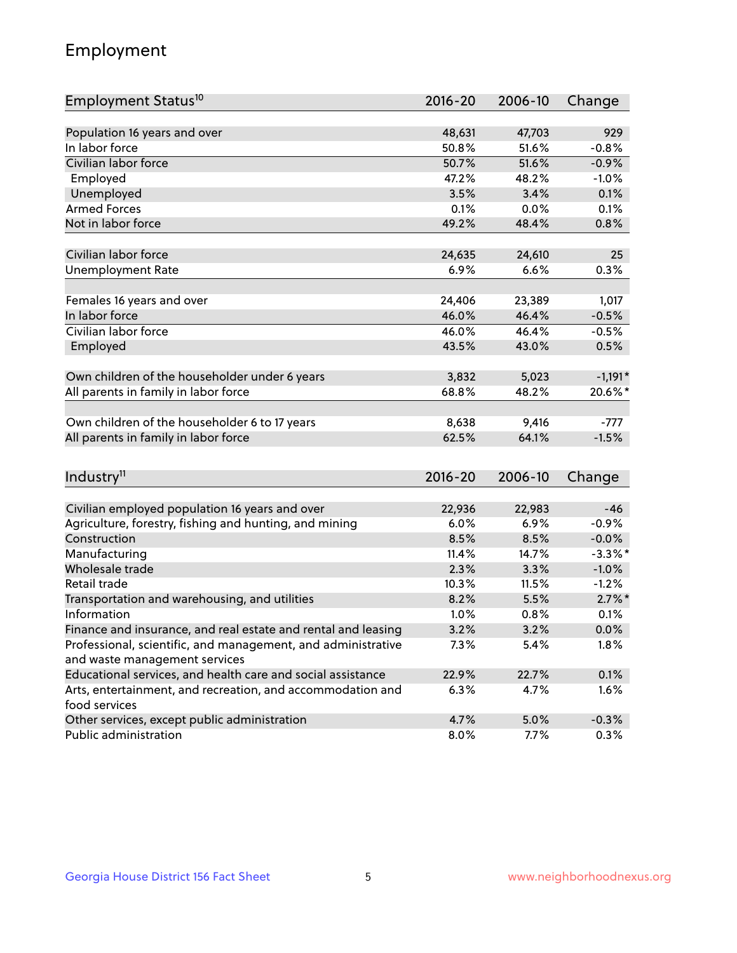## Employment

| Employment Status <sup>10</sup>                                             | $2016 - 20$     | 2006-10         | Change     |
|-----------------------------------------------------------------------------|-----------------|-----------------|------------|
|                                                                             |                 |                 |            |
| Population 16 years and over                                                | 48,631          | 47,703          | 929        |
| In labor force                                                              | 50.8%           | 51.6%           | $-0.8%$    |
| Civilian labor force                                                        | 50.7%           | 51.6%           | $-0.9%$    |
| Employed                                                                    | 47.2%           | 48.2%           | $-1.0%$    |
| Unemployed                                                                  | 3.5%            | 3.4%            | 0.1%       |
| <b>Armed Forces</b>                                                         | 0.1%            | 0.0%            | 0.1%       |
| Not in labor force                                                          | 49.2%           | 48.4%           | 0.8%       |
|                                                                             |                 |                 |            |
| Civilian labor force                                                        | 24,635          | 24,610          | 25         |
| <b>Unemployment Rate</b>                                                    | 6.9%            | 6.6%            | 0.3%       |
|                                                                             |                 |                 |            |
| Females 16 years and over<br>In labor force                                 | 24,406<br>46.0% | 23,389<br>46.4% | 1,017      |
|                                                                             |                 |                 | $-0.5%$    |
| Civilian labor force                                                        | 46.0%           | 46.4%           | $-0.5%$    |
| Employed                                                                    | 43.5%           | 43.0%           | 0.5%       |
| Own children of the householder under 6 years                               | 3,832           | 5,023           | $-1,191*$  |
| All parents in family in labor force                                        | 68.8%           | 48.2%           | 20.6%*     |
|                                                                             |                 |                 |            |
| Own children of the householder 6 to 17 years                               | 8,638           | 9,416           | $-777$     |
| All parents in family in labor force                                        | 62.5%           | 64.1%           | $-1.5%$    |
|                                                                             |                 |                 |            |
| Industry <sup>11</sup>                                                      | $2016 - 20$     | 2006-10         | Change     |
|                                                                             |                 |                 |            |
| Civilian employed population 16 years and over                              | 22,936          | 22,983          | $-46$      |
| Agriculture, forestry, fishing and hunting, and mining                      | 6.0%            | 6.9%            | $-0.9%$    |
| Construction                                                                | 8.5%            | 8.5%            | $-0.0%$    |
| Manufacturing                                                               | 11.4%           | 14.7%           | $-3.3\%$ * |
| Wholesale trade                                                             | 2.3%            | 3.3%            | $-1.0%$    |
| Retail trade                                                                | 10.3%           | 11.5%           | $-1.2%$    |
| Transportation and warehousing, and utilities                               | 8.2%            | 5.5%            | $2.7\%$ *  |
| Information                                                                 | 1.0%            | 0.8%            | 0.1%       |
| Finance and insurance, and real estate and rental and leasing               | 3.2%            | 3.2%            | $0.0\%$    |
| Professional, scientific, and management, and administrative                | 7.3%            | 5.4%            | 1.8%       |
| and waste management services                                               |                 |                 |            |
| Educational services, and health care and social assistance                 | 22.9%           | 22.7%           | 0.1%       |
| Arts, entertainment, and recreation, and accommodation and<br>food services | 6.3%            | 4.7%            | 1.6%       |
| Other services, except public administration                                | 4.7%            | 5.0%            | $-0.3%$    |
| Public administration                                                       | 8.0%            | 7.7%            | 0.3%       |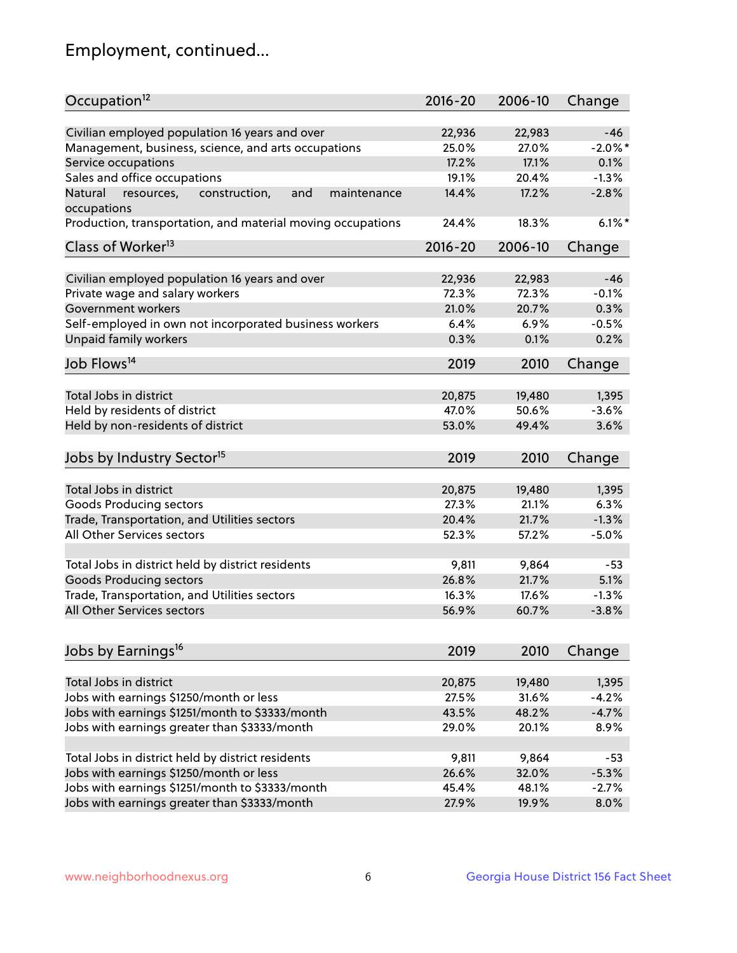## Employment, continued...

| Occupation <sup>12</sup>                                     | $2016 - 20$ | 2006-10 | Change     |
|--------------------------------------------------------------|-------------|---------|------------|
| Civilian employed population 16 years and over               | 22,936      | 22,983  | $-46$      |
| Management, business, science, and arts occupations          | 25.0%       | 27.0%   | $-2.0\%$ * |
| Service occupations                                          | 17.2%       | 17.1%   | 0.1%       |
| Sales and office occupations                                 | 19.1%       | 20.4%   | $-1.3%$    |
| Natural<br>and<br>resources,<br>construction,<br>maintenance | 14.4%       | 17.2%   | $-2.8%$    |
| occupations                                                  |             |         |            |
| Production, transportation, and material moving occupations  | 24.4%       | 18.3%   | $6.1\%$ *  |
| Class of Worker <sup>13</sup>                                | $2016 - 20$ | 2006-10 | Change     |
| Civilian employed population 16 years and over               | 22,936      | 22,983  | $-46$      |
| Private wage and salary workers                              | 72.3%       | 72.3%   | $-0.1%$    |
| Government workers                                           | 21.0%       | 20.7%   | 0.3%       |
|                                                              | 6.4%        | 6.9%    | $-0.5%$    |
| Self-employed in own not incorporated business workers       | 0.3%        | 0.1%    | 0.2%       |
| Unpaid family workers                                        |             |         |            |
| Job Flows <sup>14</sup>                                      | 2019        | 2010    | Change     |
|                                                              |             |         |            |
| Total Jobs in district                                       | 20,875      | 19,480  | 1,395      |
| Held by residents of district                                | 47.0%       | 50.6%   | $-3.6%$    |
| Held by non-residents of district                            | 53.0%       | 49.4%   | 3.6%       |
| Jobs by Industry Sector <sup>15</sup>                        | 2019        | 2010    | Change     |
| Total Jobs in district                                       | 20,875      | 19,480  | 1,395      |
| Goods Producing sectors                                      | 27.3%       | 21.1%   | 6.3%       |
| Trade, Transportation, and Utilities sectors                 | 20.4%       | 21.7%   | $-1.3%$    |
| All Other Services sectors                                   | 52.3%       | 57.2%   | $-5.0%$    |
|                                                              |             |         |            |
| Total Jobs in district held by district residents            | 9,811       | 9,864   | $-53$      |
| <b>Goods Producing sectors</b>                               | 26.8%       | 21.7%   | 5.1%       |
| Trade, Transportation, and Utilities sectors                 | 16.3%       | 17.6%   | $-1.3%$    |
| All Other Services sectors                                   | 56.9%       | 60.7%   | $-3.8%$    |
|                                                              |             |         |            |
| Jobs by Earnings <sup>16</sup>                               | 2019        | 2010    | Change     |
| Total Jobs in district                                       | 20,875      | 19,480  | 1,395      |
| Jobs with earnings \$1250/month or less                      | 27.5%       | 31.6%   | $-4.2%$    |
| Jobs with earnings \$1251/month to \$3333/month              | 43.5%       | 48.2%   | $-4.7%$    |
| Jobs with earnings greater than \$3333/month                 | 29.0%       | 20.1%   | 8.9%       |
|                                                              |             |         |            |
| Total Jobs in district held by district residents            | 9,811       | 9,864   | $-53$      |
| Jobs with earnings \$1250/month or less                      | 26.6%       | 32.0%   | $-5.3%$    |
| Jobs with earnings \$1251/month to \$3333/month              | 45.4%       | 48.1%   | $-2.7%$    |
| Jobs with earnings greater than \$3333/month                 | 27.9%       | 19.9%   | 8.0%       |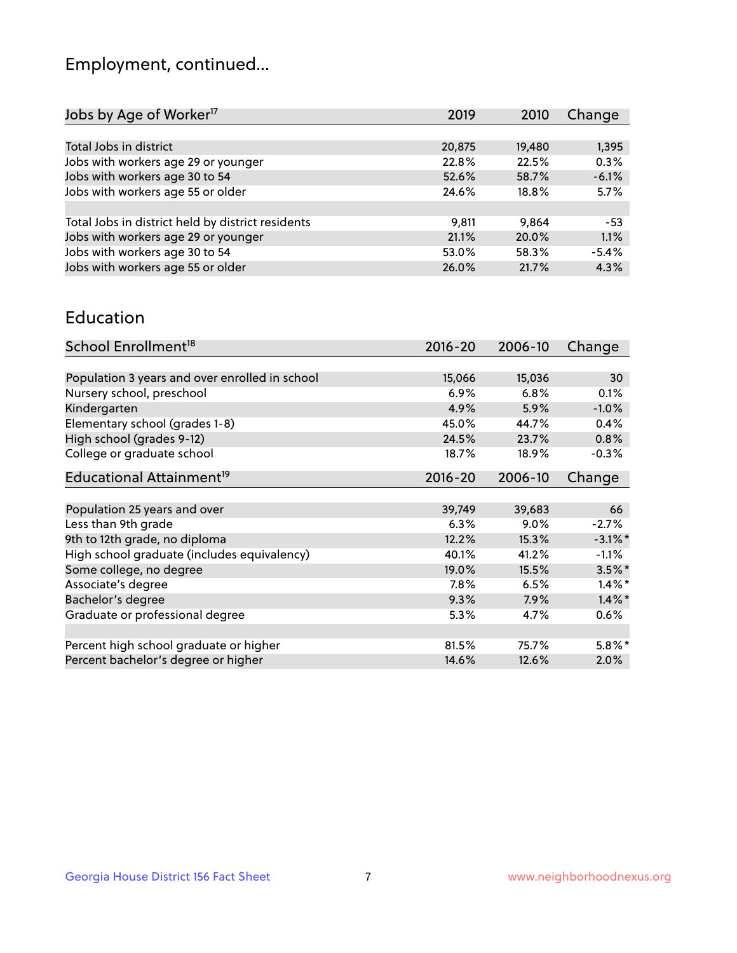## Employment, continued...

| Jobs by Age of Worker <sup>17</sup>               | 2019   | 2010   | Change  |
|---------------------------------------------------|--------|--------|---------|
|                                                   |        |        |         |
| Total Jobs in district                            | 20,875 | 19,480 | 1,395   |
| Jobs with workers age 29 or younger               | 22.8%  | 22.5%  | 0.3%    |
| Jobs with workers age 30 to 54                    | 52.6%  | 58.7%  | $-6.1%$ |
| Jobs with workers age 55 or older                 | 24.6%  | 18.8%  | 5.7%    |
|                                                   |        |        |         |
| Total Jobs in district held by district residents | 9,811  | 9.864  | $-53$   |
| Jobs with workers age 29 or younger               | 21.1%  | 20.0%  | 1.1%    |
| Jobs with workers age 30 to 54                    | 53.0%  | 58.3%  | $-5.4%$ |
| Jobs with workers age 55 or older                 | 26.0%  | 21.7%  | 4.3%    |
|                                                   |        |        |         |

#### Education

| School Enrollment <sup>18</sup>                | $2016 - 20$ | 2006-10 | Change     |
|------------------------------------------------|-------------|---------|------------|
|                                                |             |         |            |
| Population 3 years and over enrolled in school | 15,066      | 15,036  | 30         |
| Nursery school, preschool                      | 6.9%        | 6.8%    | 0.1%       |
| Kindergarten                                   | 4.9%        | 5.9%    | $-1.0%$    |
| Elementary school (grades 1-8)                 | 45.0%       | 44.7%   | 0.4%       |
| High school (grades 9-12)                      | 24.5%       | 23.7%   | 0.8%       |
| College or graduate school                     | 18.7%       | 18.9%   | $-0.3%$    |
| Educational Attainment <sup>19</sup>           | $2016 - 20$ | 2006-10 | Change     |
|                                                |             |         |            |
| Population 25 years and over                   | 39,749      | 39,683  | 66         |
| Less than 9th grade                            | 6.3%        | $9.0\%$ | $-2.7%$    |
| 9th to 12th grade, no diploma                  | 12.2%       | 15.3%   | $-3.1\%$ * |
| High school graduate (includes equivalency)    | 40.1%       | 41.2%   | $-1.1\%$   |
| Some college, no degree                        | 19.0%       | 15.5%   | $3.5\%$ *  |
| Associate's degree                             | 7.8%        | 6.5%    | $1.4\%$ *  |
| Bachelor's degree                              | 9.3%        | 7.9%    | $1.4\%$ *  |
| Graduate or professional degree                | 5.3%        | 4.7%    | $0.6\%$    |
|                                                |             |         |            |
| Percent high school graduate or higher         | 81.5%       | 75.7%   | $5.8\%$ *  |
| Percent bachelor's degree or higher            | 14.6%       | 12.6%   | 2.0%       |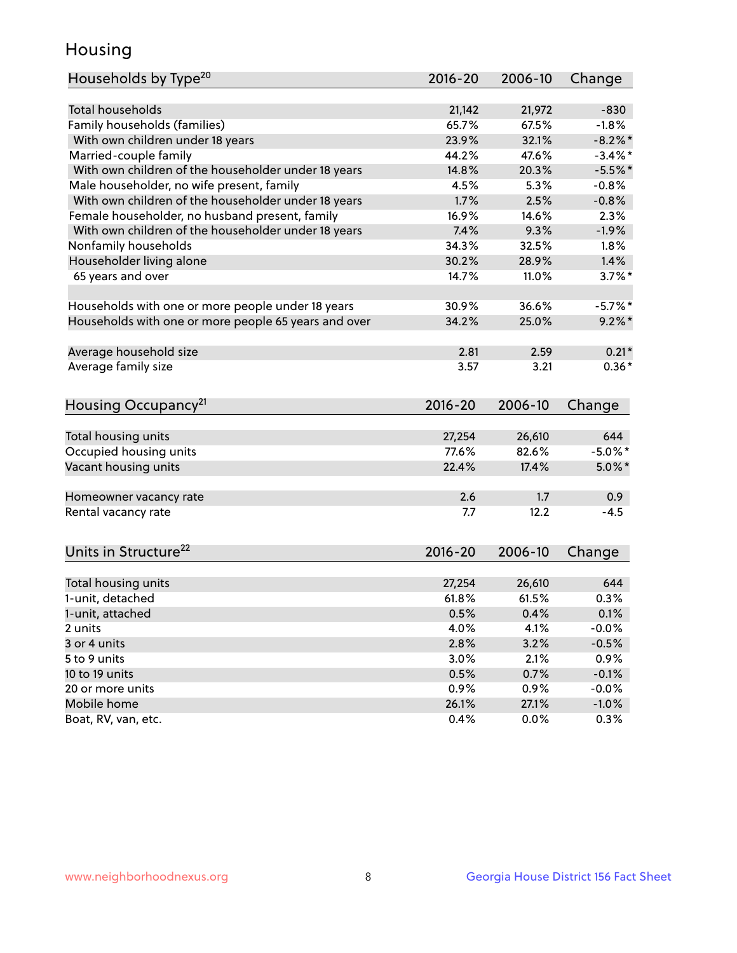## Housing

| Households by Type <sup>20</sup>                     | 2016-20 | 2006-10 | Change     |
|------------------------------------------------------|---------|---------|------------|
|                                                      |         |         |            |
| <b>Total households</b>                              | 21,142  | 21,972  | $-830$     |
| Family households (families)                         | 65.7%   | 67.5%   | $-1.8%$    |
| With own children under 18 years                     | 23.9%   | 32.1%   | $-8.2\%$ * |
| Married-couple family                                | 44.2%   | 47.6%   | $-3.4%$ *  |
| With own children of the householder under 18 years  | 14.8%   | 20.3%   | $-5.5%$ *  |
| Male householder, no wife present, family            | 4.5%    | 5.3%    | $-0.8%$    |
| With own children of the householder under 18 years  | 1.7%    | 2.5%    | $-0.8%$    |
| Female householder, no husband present, family       | 16.9%   | 14.6%   | 2.3%       |
| With own children of the householder under 18 years  | 7.4%    | 9.3%    | $-1.9%$    |
| Nonfamily households                                 | 34.3%   | 32.5%   | $1.8\%$    |
| Householder living alone                             | 30.2%   | 28.9%   | 1.4%       |
| 65 years and over                                    | 14.7%   | 11.0%   | $3.7\%$ *  |
|                                                      |         |         |            |
| Households with one or more people under 18 years    | 30.9%   | 36.6%   | $-5.7%$ *  |
| Households with one or more people 65 years and over | 34.2%   | 25.0%   | $9.2\%$ *  |
|                                                      |         |         |            |
| Average household size                               | 2.81    | 2.59    | $0.21*$    |
| Average family size                                  | 3.57    | 3.21    | $0.36*$    |
|                                                      |         |         |            |
| Housing Occupancy <sup>21</sup>                      | 2016-20 | 2006-10 | Change     |
|                                                      |         |         |            |
| Total housing units                                  | 27,254  | 26,610  | 644        |
| Occupied housing units                               | 77.6%   | 82.6%   | $-5.0\%$ * |
| Vacant housing units                                 | 22.4%   | 17.4%   | $5.0\%$ *  |
|                                                      |         |         |            |
| Homeowner vacancy rate                               | 2.6     | 1.7     | 0.9        |
| Rental vacancy rate                                  | 7.7     | 12.2    | $-4.5$     |
|                                                      |         |         |            |
| Units in Structure <sup>22</sup>                     | 2016-20 | 2006-10 | Change     |
|                                                      |         |         |            |
| Total housing units                                  | 27,254  | 26,610  | 644        |
| 1-unit, detached                                     | 61.8%   | 61.5%   | 0.3%       |
| 1-unit, attached                                     | 0.5%    | 0.4%    | 0.1%       |
| 2 units                                              | 4.0%    | 4.1%    | $-0.0%$    |
| 3 or 4 units                                         | 2.8%    | 3.2%    | $-0.5%$    |
| 5 to 9 units                                         | 3.0%    | 2.1%    | 0.9%       |
| 10 to 19 units                                       | 0.5%    | 0.7%    | $-0.1%$    |
| 20 or more units                                     | 0.9%    | 0.9%    | $-0.0%$    |
| Mobile home                                          | 26.1%   | 27.1%   | $-1.0\%$   |
| Boat, RV, van, etc.                                  | 0.4%    | 0.0%    | 0.3%       |
|                                                      |         |         |            |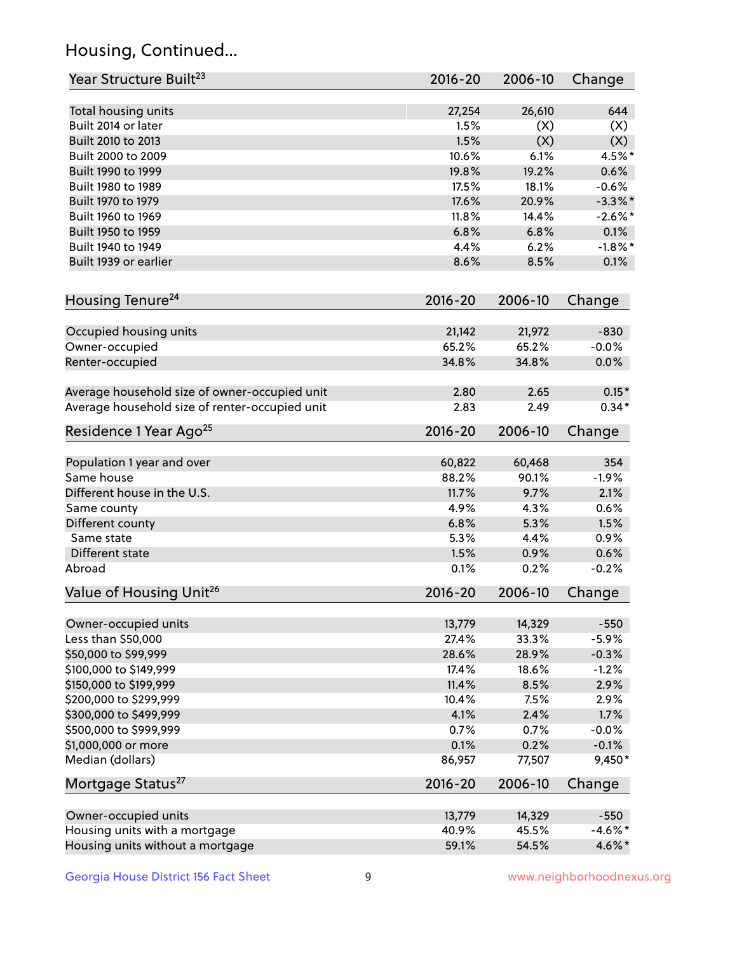## Housing, Continued...

| Year Structure Built <sup>23</sup>             | 2016-20        | 2006-10       | Change     |
|------------------------------------------------|----------------|---------------|------------|
|                                                |                |               |            |
| Total housing units<br>Built 2014 or later     | 27,254<br>1.5% | 26,610<br>(X) | 644<br>(X) |
| Built 2010 to 2013                             | 1.5%           | (X)           | (X)        |
| Built 2000 to 2009                             | 10.6%          | 6.1%          | 4.5%*      |
|                                                | 19.8%          | 19.2%         |            |
| Built 1990 to 1999                             |                |               | 0.6%       |
| Built 1980 to 1989                             | 17.5%<br>17.6% | 18.1%         | $-0.6%$    |
| Built 1970 to 1979                             | $11.8\%$       | 20.9%         | $-3.3\%$ * |
| Built 1960 to 1969                             |                | 14.4%         | $-2.6\%$ * |
| Built 1950 to 1959                             | 6.8%           | 6.8%          | 0.1%       |
| Built 1940 to 1949                             | 4.4%           | 6.2%          | $-1.8\%$ * |
| Built 1939 or earlier                          | 8.6%           | 8.5%          | 0.1%       |
| Housing Tenure <sup>24</sup>                   | $2016 - 20$    | 2006-10       | Change     |
| Occupied housing units                         | 21,142         | 21,972        | $-830$     |
| Owner-occupied                                 | 65.2%          | 65.2%         | $-0.0%$    |
| Renter-occupied                                | 34.8%          | 34.8%         | 0.0%       |
| Average household size of owner-occupied unit  | 2.80           | 2.65          | $0.15*$    |
| Average household size of renter-occupied unit | 2.83           | 2.49          | $0.34*$    |
| Residence 1 Year Ago <sup>25</sup>             | 2016-20        | 2006-10       | Change     |
|                                                |                |               |            |
| Population 1 year and over                     | 60,822         | 60,468        | 354        |
| Same house                                     | 88.2%          | 90.1%         | $-1.9%$    |
| Different house in the U.S.                    | 11.7%          | 9.7%          | 2.1%       |
| Same county                                    | 4.9%           | 4.3%          | 0.6%       |
| Different county                               | 6.8%           | 5.3%          | 1.5%       |
| Same state                                     | 5.3%           | 4.4%          | 0.9%       |
| Different state                                | 1.5%           | 0.9%          | 0.6%       |
| Abroad                                         | 0.1%           | 0.2%          | $-0.2%$    |
| Value of Housing Unit <sup>26</sup>            | $2016 - 20$    | 2006-10       | Change     |
|                                                |                |               |            |
| Owner-occupied units                           | 13,779         | 14,329        | $-550$     |
| Less than \$50,000                             | 27.4%          | 33.3%         | $-5.9%$    |
| \$50,000 to \$99,999                           | 28.6%          | 28.9%         | $-0.3%$    |
| \$100,000 to \$149,999                         | 17.4%          | 18.6%         | $-1.2%$    |
| \$150,000 to \$199,999                         | 11.4%          | 8.5%          | 2.9%       |
| \$200,000 to \$299,999                         | 10.4%          | 7.5%          | 2.9%       |
| \$300,000 to \$499,999                         | 4.1%           | 2.4%          | 1.7%       |
| \$500,000 to \$999,999                         | 0.7%           | 0.7%          | $-0.0%$    |
| \$1,000,000 or more                            | 0.1%           | 0.2%          | $-0.1%$    |
| Median (dollars)                               | 86,957         | 77,507        | 9,450*     |
| Mortgage Status <sup>27</sup>                  | $2016 - 20$    | 2006-10       | Change     |
| Owner-occupied units                           | 13,779         | 14,329        | $-550$     |
| Housing units with a mortgage                  | 40.9%          | 45.5%         | $-4.6\%$ * |
| Housing units without a mortgage               | 59.1%          | 54.5%         | 4.6%*      |
|                                                |                |               |            |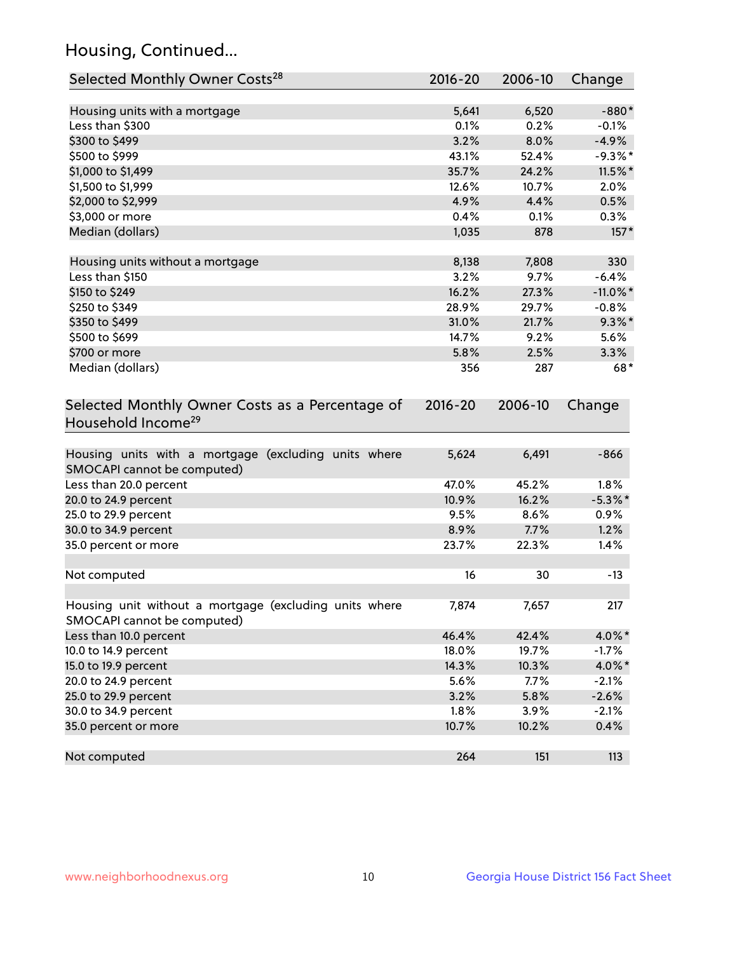## Housing, Continued...

| Selected Monthly Owner Costs <sup>28</sup>                                            | $2016 - 20$ | 2006-10 | Change      |
|---------------------------------------------------------------------------------------|-------------|---------|-------------|
| Housing units with a mortgage                                                         | 5,641       | 6,520   | $-880*$     |
| Less than \$300                                                                       | 0.1%        | 0.2%    | $-0.1%$     |
| \$300 to \$499                                                                        | 3.2%        | 8.0%    | $-4.9%$     |
| \$500 to \$999                                                                        | 43.1%       | 52.4%   | $-9.3%$ *   |
| \$1,000 to \$1,499                                                                    | 35.7%       | 24.2%   | $11.5\%$ *  |
| \$1,500 to \$1,999                                                                    | 12.6%       | 10.7%   | 2.0%        |
| \$2,000 to \$2,999                                                                    | 4.9%        | 4.4%    | 0.5%        |
| \$3,000 or more                                                                       | 0.4%        | 0.1%    | 0.3%        |
| Median (dollars)                                                                      | 1,035       | 878     | $157*$      |
| Housing units without a mortgage                                                      | 8,138       | 7,808   | 330         |
| Less than \$150                                                                       | 3.2%        | 9.7%    | $-6.4%$     |
| \$150 to \$249                                                                        | 16.2%       | 27.3%   | $-11.0\%$ * |
| \$250 to \$349                                                                        | 28.9%       | 29.7%   | $-0.8%$     |
| \$350 to \$499                                                                        | 31.0%       | 21.7%   | $9.3\%$ *   |
| \$500 to \$699                                                                        | 14.7%       | 9.2%    | 5.6%        |
| \$700 or more                                                                         | 5.8%        | 2.5%    | 3.3%        |
| Median (dollars)                                                                      | 356         | 287     | $68*$       |
| Selected Monthly Owner Costs as a Percentage of<br>Household Income <sup>29</sup>     | $2016 - 20$ | 2006-10 | Change      |
| Housing units with a mortgage (excluding units where<br>SMOCAPI cannot be computed)   | 5,624       | 6,491   | $-866$      |
| Less than 20.0 percent                                                                | 47.0%       | 45.2%   | 1.8%        |
| 20.0 to 24.9 percent                                                                  | 10.9%       | 16.2%   | $-5.3\%$ *  |
| 25.0 to 29.9 percent                                                                  | 9.5%        | 8.6%    | 0.9%        |
| 30.0 to 34.9 percent                                                                  | 8.9%        | 7.7%    | 1.2%        |
| 35.0 percent or more                                                                  | 23.7%       | 22.3%   | 1.4%        |
| Not computed                                                                          | 16          | 30      | $-13$       |
| Housing unit without a mortgage (excluding units where<br>SMOCAPI cannot be computed) | 7,874       | 7,657   | 217         |
| Less than 10.0 percent                                                                | 46.4%       | 42.4%   | 4.0%*       |
| 10.0 to 14.9 percent                                                                  | 18.0%       | 19.7%   | $-1.7%$     |
| 15.0 to 19.9 percent                                                                  | 14.3%       | 10.3%   | 4.0%*       |
| 20.0 to 24.9 percent                                                                  | 5.6%        | 7.7%    | $-2.1%$     |
| 25.0 to 29.9 percent                                                                  | 3.2%        | 5.8%    | $-2.6%$     |
| 30.0 to 34.9 percent                                                                  | 1.8%        | 3.9%    | $-2.1%$     |
| 35.0 percent or more                                                                  | 10.7%       | 10.2%   | 0.4%        |
| Not computed                                                                          | 264         | 151     | 113         |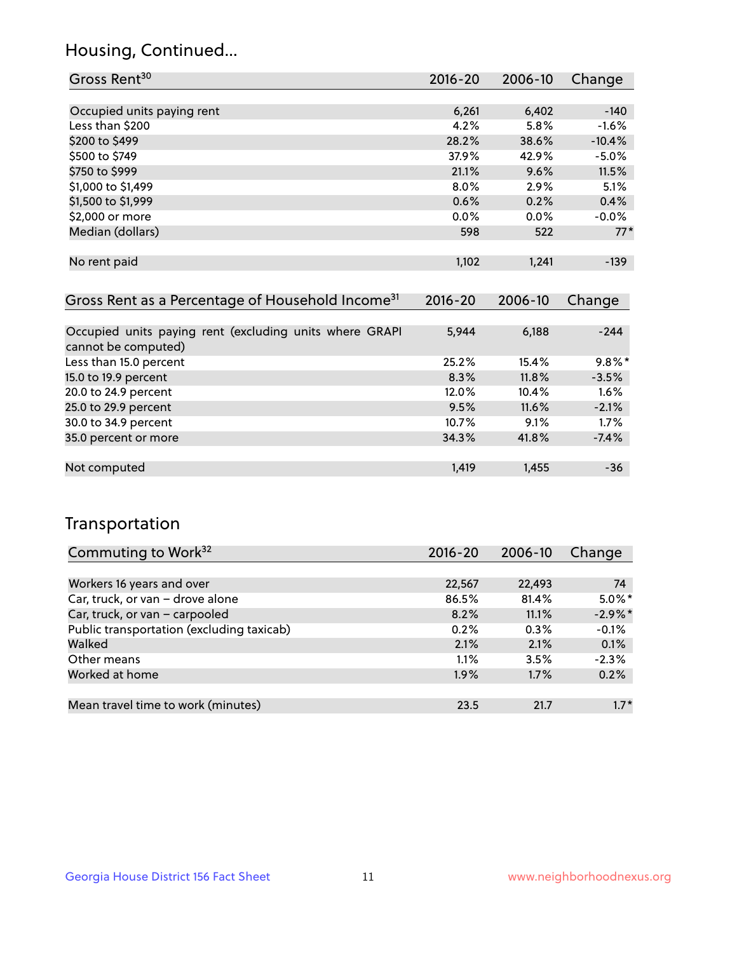## Housing, Continued...

| Gross Rent <sup>30</sup>   | 2016-20 | 2006-10 | Change   |
|----------------------------|---------|---------|----------|
|                            |         |         |          |
| Occupied units paying rent | 6,261   | 6,402   | $-140$   |
| Less than \$200            | 4.2%    | 5.8%    | $-1.6%$  |
| \$200 to \$499             | 28.2%   | 38.6%   | $-10.4%$ |
| \$500 to \$749             | 37.9%   | 42.9%   | $-5.0%$  |
| \$750 to \$999             | 21.1%   | 9.6%    | 11.5%    |
| \$1,000 to \$1,499         | $8.0\%$ | $2.9\%$ | 5.1%     |
| \$1,500 to \$1,999         | 0.6%    | 0.2%    | 0.4%     |
| \$2,000 or more            | $0.0\%$ | $0.0\%$ | $-0.0%$  |
| Median (dollars)           | 598     | 522     | $77*$    |
|                            |         |         |          |
| No rent paid               | 1,102   | 1,241   | $-139$   |
|                            |         |         |          |

| Gross Rent as a Percentage of Household Income <sup>31</sup>                   | $2016 - 20$ | 2006-10 | Change    |
|--------------------------------------------------------------------------------|-------------|---------|-----------|
|                                                                                |             |         |           |
| Occupied units paying rent (excluding units where GRAPI<br>cannot be computed) | 5,944       | 6,188   | $-244$    |
| Less than 15.0 percent                                                         | 25.2%       | 15.4%   | $9.8\%$ * |
| 15.0 to 19.9 percent                                                           | 8.3%        | 11.8%   | $-3.5%$   |
| 20.0 to 24.9 percent                                                           | 12.0%       | 10.4%   | 1.6%      |
| 25.0 to 29.9 percent                                                           | 9.5%        | 11.6%   | $-2.1%$   |
| 30.0 to 34.9 percent                                                           | 10.7%       | 9.1%    | 1.7%      |
| 35.0 percent or more                                                           | 34.3%       | 41.8%   | $-7.4%$   |
|                                                                                |             |         |           |
| Not computed                                                                   | 1.419       | 1,455   | $-36$     |

## Transportation

| Commuting to Work <sup>32</sup>           | 2016-20 | 2006-10 | Change     |
|-------------------------------------------|---------|---------|------------|
|                                           |         |         |            |
| Workers 16 years and over                 | 22,567  | 22,493  | 74         |
| Car, truck, or van - drove alone          | 86.5%   | 81.4%   | $5.0\%$ *  |
| Car, truck, or van - carpooled            | 8.2%    | 11.1%   | $-2.9\%$ * |
| Public transportation (excluding taxicab) | 0.2%    | 0.3%    | $-0.1%$    |
| Walked                                    | 2.1%    | 2.1%    | 0.1%       |
| Other means                               | 1.1%    | 3.5%    | $-2.3%$    |
| Worked at home                            | $1.9\%$ | 1.7%    | 0.2%       |
|                                           |         |         |            |
| Mean travel time to work (minutes)        | 23.5    | 21.7    | $1.7*$     |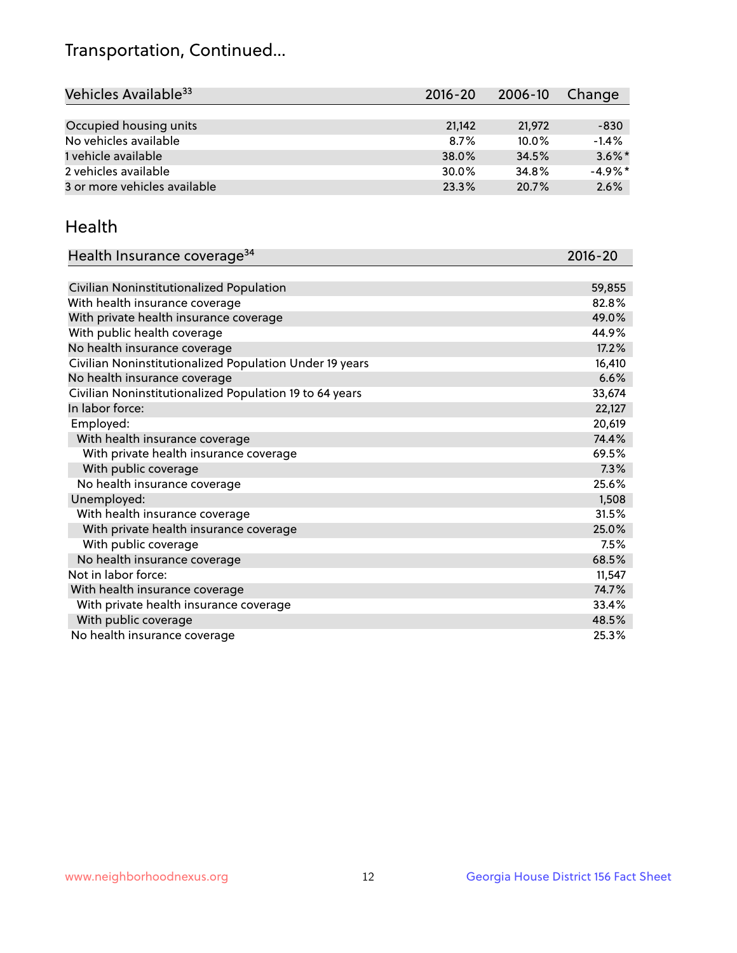## Transportation, Continued...

| Vehicles Available <sup>33</sup> | $2016 - 20$ | 2006-10  | Change    |
|----------------------------------|-------------|----------|-----------|
|                                  |             |          |           |
| Occupied housing units           | 21,142      | 21,972   | $-830$    |
| No vehicles available            | 8.7%        | $10.0\%$ | $-1.4%$   |
| 1 vehicle available              | 38.0%       | 34.5%    | $3.6\%$ * |
| 2 vehicles available             | 30.0%       | 34.8%    | $-4.9%$ * |
| 3 or more vehicles available     | 23.3%       | 20.7%    | 2.6%      |

#### Health

| Health Insurance coverage <sup>34</sup>                 | 2016-20 |
|---------------------------------------------------------|---------|
|                                                         |         |
| Civilian Noninstitutionalized Population                | 59,855  |
| With health insurance coverage                          | 82.8%   |
| With private health insurance coverage                  | 49.0%   |
| With public health coverage                             | 44.9%   |
| No health insurance coverage                            | 17.2%   |
| Civilian Noninstitutionalized Population Under 19 years | 16,410  |
| No health insurance coverage                            | 6.6%    |
| Civilian Noninstitutionalized Population 19 to 64 years | 33,674  |
| In labor force:                                         | 22,127  |
| Employed:                                               | 20,619  |
| With health insurance coverage                          | 74.4%   |
| With private health insurance coverage                  | 69.5%   |
| With public coverage                                    | 7.3%    |
| No health insurance coverage                            | 25.6%   |
| Unemployed:                                             | 1,508   |
| With health insurance coverage                          | 31.5%   |
| With private health insurance coverage                  | 25.0%   |
| With public coverage                                    | 7.5%    |
| No health insurance coverage                            | 68.5%   |
| Not in labor force:                                     | 11,547  |
| With health insurance coverage                          | 74.7%   |
| With private health insurance coverage                  | 33.4%   |
| With public coverage                                    | 48.5%   |
| No health insurance coverage                            | 25.3%   |